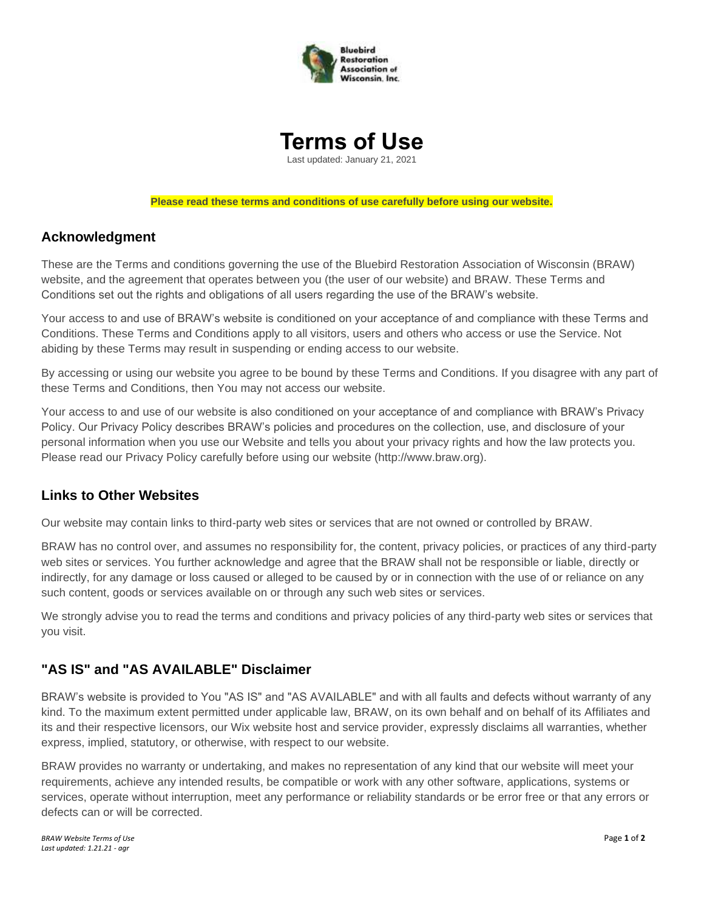



#### **Please read these terms and conditions of use carefully before using our website.**

#### **Acknowledgment**

These are the Terms and conditions governing the use of the Bluebird Restoration Association of Wisconsin (BRAW) website, and the agreement that operates between you (the user of our website) and BRAW. These Terms and Conditions set out the rights and obligations of all users regarding the use of the BRAW's website.

Your access to and use of BRAW's website is conditioned on your acceptance of and compliance with these Terms and Conditions. These Terms and Conditions apply to all visitors, users and others who access or use the Service. Not abiding by these Terms may result in suspending or ending access to our website.

By accessing or using our website you agree to be bound by these Terms and Conditions. If you disagree with any part of these Terms and Conditions, then You may not access our website.

Your access to and use of our website is also conditioned on your acceptance of and compliance with BRAW's Privacy Policy. Our Privacy Policy describes BRAW's policies and procedures on the collection, use, and disclosure of your personal information when you use our Website and tells you about your privacy rights and how the law protects you. Please read our Privacy Policy carefully before using our website (http://www.braw.org).

## **Links to Other Websites**

Our website may contain links to third-party web sites or services that are not owned or controlled by BRAW.

BRAW has no control over, and assumes no responsibility for, the content, privacy policies, or practices of any third-party web sites or services. You further acknowledge and agree that the BRAW shall not be responsible or liable, directly or indirectly, for any damage or loss caused or alleged to be caused by or in connection with the use of or reliance on any such content, goods or services available on or through any such web sites or services.

We strongly advise you to read the terms and conditions and privacy policies of any third-party web sites or services that you visit.

## **"AS IS" and "AS AVAILABLE" Disclaimer**

BRAW's website is provided to You "AS IS" and "AS AVAILABLE" and with all faults and defects without warranty of any kind. To the maximum extent permitted under applicable law, BRAW, on its own behalf and on behalf of its Affiliates and its and their respective licensors, our Wix website host and service provider, expressly disclaims all warranties, whether express, implied, statutory, or otherwise, with respect to our website.

BRAW provides no warranty or undertaking, and makes no representation of any kind that our website will meet your requirements, achieve any intended results, be compatible or work with any other software, applications, systems or services, operate without interruption, meet any performance or reliability standards or be error free or that any errors or defects can or will be corrected.